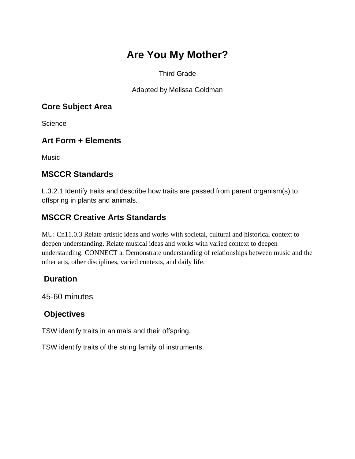# **Are You My Mother?**

#### Third Grade

Adapted by Melissa Goldman

#### **Core Subject Area**

**Science** 

### **Art Form + Elements**

**Music** 

#### **MSCCR Standards**

L.3.2.1 Identify traits and describe how traits are passed from parent organism(s) to offspring in plants and animals.

## **MSCCR Creative Arts Standards**

MU: Cn11.0.3 Relate artistic ideas and works with societal, cultural and historical context to deepen understanding. Relate musical ideas and works with varied context to deepen understanding. CONNECT a. Demonstrate understanding of relationships between music and the other arts, other disciplines, varied contexts, and daily life.

#### **Duration**

45-60 minutes

#### **Objectives**

TSW identify traits in animals and their offspring.

TSW identify traits of the string family of instruments.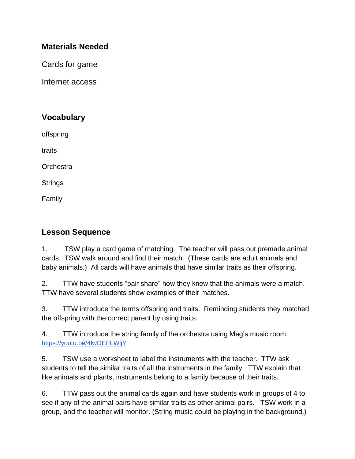#### **Materials Needed**

Cards for game

Internet access

## **Vocabulary**

offspring

traits

**Orchestra** 

**Strings** 

Family

#### **Lesson Sequence**

1. TSW play a card game of matching. The teacher will pass out premade animal cards. TSW walk around and find their match. (These cards are adult animals and baby animals.) All cards will have animals that have similar traits as their offspring.

2. TTW have students "pair share" how they knew that the animals were a match. TTW have several students show examples of their matches.

3. TTW introduce the terms offspring and traits. Reminding students they matched the offspring with the correct parent by using traits.

4. TTW introduce the string family of the orchestra using Meg's music room[.](https://youtu.be/4lwOEFLWljY) <https://youtu.be/4lwOEFLWljY>

5. TSW use a worksheet to label the instruments with the teacher. TTW ask students to tell the similar traits of all the instruments in the family. TTW explain that like animals and plants, instruments belong to a family because of their traits.

6. TTW pass out the animal cards again and have students work in groups of 4 to see if any of the animal pairs have similar traits as other animal pairs. TSW work in a group, and the teacher will monitor. (String music could be playing in the background.)